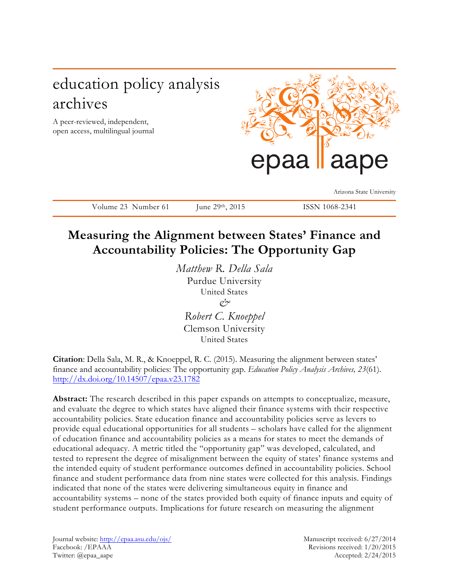# education policy analysis archives

A peer-reviewed, independent, open access, multilingual journal



Arizona State University

Volume 23 Number 61 June 29<sup>th</sup>, 2015 ISSN 1068-2341

## **Measuring the Alignment between States' Finance and Accountability Policies: The Opportunity Gap**

*Matthew R. Della Sala* Purdue University United States *&*

*Robert C. Knoeppel* Clemson University United States

**Citation**: Della Sala, M. R., & Knoeppel, R. C. (2015). Measuring the alignment between states' finance and accountability policies: The opportunity gap. *Education Policy Analysis Archives, 23*(61). http://dx.doi.org/10.14507/epaa.v23.1782

**Abstract:** The research described in this paper expands on attempts to conceptualize, measure, and evaluate the degree to which states have aligned their finance systems with their respective accountability policies. State education finance and accountability policies serve as levers to provide equal educational opportunities for all students – scholars have called for the alignment of education finance and accountability policies as a means for states to meet the demands of educational adequacy. A metric titled the "opportunity gap" was developed, calculated, and tested to represent the degree of misalignment between the equity of states' finance systems and the intended equity of student performance outcomes defined in accountability policies. School finance and student performance data from nine states were collected for this analysis. Findings indicated that none of the states were delivering simultaneous equity in finance and accountability systems – none of the states provided both equity of finance inputs and equity of student performance outputs. Implications for future research on measuring the alignment

Journal website: http://epaa.asu.edu/ojs/ Manuscript received: 6/27/2014 Facebook: /EPAAA Revisions received: 1/20/2015 Twitter: @epaa\_aape Accepted: 2/24/2015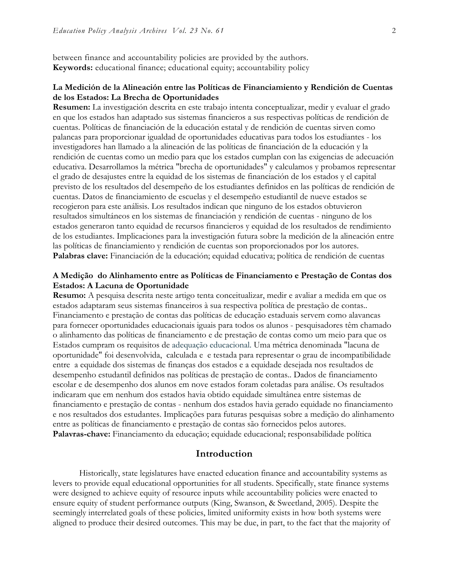between finance and accountability policies are provided by the authors. **Keywords:** educational finance; educational equity; accountability policy

#### **La Medición de la Alineación entre las Políticas de Financiamiento y Rendición de Cuentas de los Estados: La Brecha de Oportunidades**

**Resumen:** La investigación descrita en este trabajo intenta conceptualizar, medir y evaluar el grado en que los estados han adaptado sus sistemas financieros a sus respectivas políticas de rendición de cuentas. Políticas de financiación de la educación estatal y de rendición de cuentas sirven como palancas para proporcionar igualdad de oportunidades educativas para todos los estudiantes - los investigadores han llamado a la alineación de las políticas de financiación de la educación y la rendición de cuentas como un medio para que los estados cumplan con las exigencias de adecuación educativa. Desarrollamos la métrica "brecha de oportunidades" y calculamos y probamos representar el grado de desajustes entre la equidad de los sistemas de financiación de los estados y el capital previsto de los resultados del desempeño de los estudiantes definidos en las políticas de rendición de cuentas. Datos de financiamiento de escuelas y el desempeño estudiantil de nueve estados se recogieron para este análisis. Los resultados indican que ninguno de los estados obtuvieron resultados simultáneos en los sistemas de financiación y rendición de cuentas - ninguno de los estados generaron tanto equidad de recursos financieros y equidad de los resultados de rendimiento de los estudiantes. Implicaciones para la investigación futura sobre la medición de la alineación entre las políticas de financiamiento y rendición de cuentas son proporcionados por los autores. **Palabras clave:** Financiación de la educación; equidad educativa; política de rendición de cuentas

#### **A Medição do Alinhamento entre as Políticas de Financiamento e Prestação de Contas dos Estados: A Lacuna de Oportunidade**

**Resumo:** A pesquisa descrita neste artigo tenta conceitualizar, medir e avaliar a medida em que os estados adaptaram seus sistemas financeiros à sua respectiva política de prestação de contas.. Financiamento e prestação de contas das políticas de educação estaduais servem como alavancas para fornecer oportunidades educacionais iguais para todos os alunos - pesquisadores têm chamado o alinhamento das políticas de financiamento e de prestação de contas como um meio para que os Estados cumpram os requisitos de adequação educacional. Uma métrica denominada "lacuna de oportunidade" foi desenvolvida, calculada e e testada para representar o grau de incompatibilidade entre a equidade dos sistemas de finanças dos estados e a equidade desejada nos resultados de desempenho estudantil definidos nas políticas de prestação de contas.. Dados de financiamento escolar e de desempenho dos alunos em nove estados foram coletadas para análise. Os resultados indicaram que em nenhum dos estados havia obtido equidade simultânea entre sistemas de financiamento e prestação de contas - nenhum dos estados havia gerado equidade no financiamento e nos resultados dos estudantes. Implicações para futuras pesquisas sobre a medição do alinhamento entre as políticas de financiamento e prestação de contas são fornecidos pelos autores. **Palavras-chave:** Financiamento da educação; equidade educacional; responsabilidade política

#### **Introduction**

Historically, state legislatures have enacted education finance and accountability systems as levers to provide equal educational opportunities for all students. Specifically, state finance systems were designed to achieve equity of resource inputs while accountability policies were enacted to ensure equity of student performance outputs (King, Swanson, & Sweetland, 2005). Despite the seemingly interrelated goals of these policies, limited uniformity exists in how both systems were aligned to produce their desired outcomes. This may be due, in part, to the fact that the majority of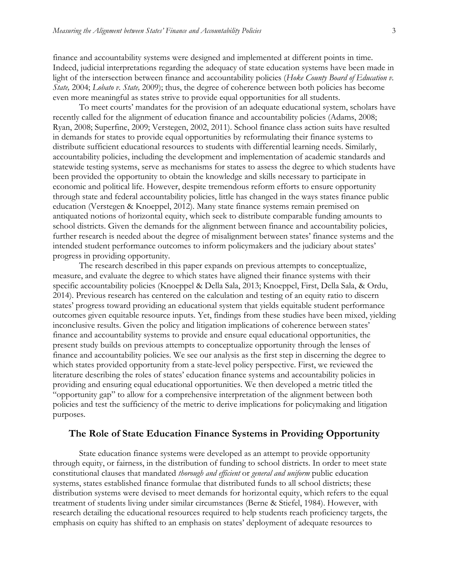finance and accountability systems were designed and implemented at different points in time. Indeed, judicial interpretations regarding the adequacy of state education systems have been made in light of the intersection between finance and accountability policies (*Hoke County Board of Education v. State,* 2004; *Lobato v. State,* 2009); thus, the degree of coherence between both policies has become even more meaningful as states strive to provide equal opportunities for all students.

To meet courts' mandates for the provision of an adequate educational system, scholars have recently called for the alignment of education finance and accountability policies (Adams, 2008; Ryan, 2008; Superfine, 2009; Verstegen, 2002, 2011). School finance class action suits have resulted in demands for states to provide equal opportunities by reformulating their finance systems to distribute sufficient educational resources to students with differential learning needs. Similarly, accountability policies, including the development and implementation of academic standards and statewide testing systems, serve as mechanisms for states to assess the degree to which students have been provided the opportunity to obtain the knowledge and skills necessary to participate in economic and political life. However, despite tremendous reform efforts to ensure opportunity through state and federal accountability policies, little has changed in the ways states finance public education (Verstegen & Knoeppel, 2012). Many state finance systems remain premised on antiquated notions of horizontal equity, which seek to distribute comparable funding amounts to school districts. Given the demands for the alignment between finance and accountability policies, further research is needed about the degree of misalignment between states' finance systems and the intended student performance outcomes to inform policymakers and the judiciary about states' progress in providing opportunity.

The research described in this paper expands on previous attempts to conceptualize, measure, and evaluate the degree to which states have aligned their finance systems with their specific accountability policies (Knoeppel & Della Sala, 2013; Knoeppel, First, Della Sala, & Ordu, 2014). Previous research has centered on the calculation and testing of an equity ratio to discern states' progress toward providing an educational system that yields equitable student performance outcomes given equitable resource inputs. Yet, findings from these studies have been mixed, yielding inconclusive results. Given the policy and litigation implications of coherence between states' finance and accountability systems to provide and ensure equal educational opportunities, the present study builds on previous attempts to conceptualize opportunity through the lenses of finance and accountability policies. We see our analysis as the first step in discerning the degree to which states provided opportunity from a state-level policy perspective. First, we reviewed the literature describing the roles of states' education finance systems and accountability policies in providing and ensuring equal educational opportunities. We then developed a metric titled the "opportunity gap" to allow for a comprehensive interpretation of the alignment between both policies and test the sufficiency of the metric to derive implications for policymaking and litigation purposes.

#### **The Role of State Education Finance Systems in Providing Opportunity**

State education finance systems were developed as an attempt to provide opportunity through equity, or fairness, in the distribution of funding to school districts. In order to meet state constitutional clauses that mandated *thorough and efficient* or *general and uniform* public education systems, states established finance formulae that distributed funds to all school districts; these distribution systems were devised to meet demands for horizontal equity, which refers to the equal treatment of students living under similar circumstances (Berne & Stiefel, 1984). However, with research detailing the educational resources required to help students reach proficiency targets, the emphasis on equity has shifted to an emphasis on states' deployment of adequate resources to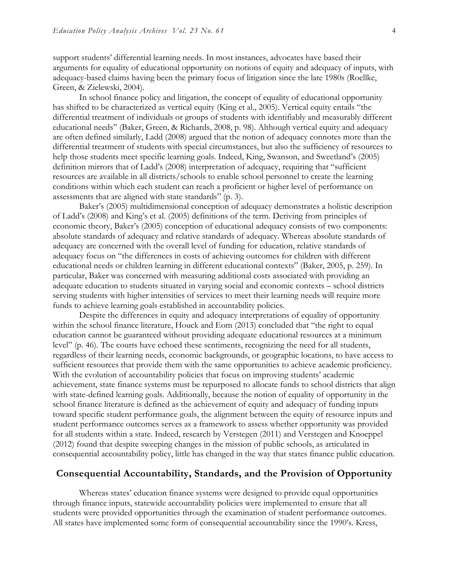support students' differential learning needs. In most instances, advocates have based their arguments for equality of educational opportunity on notions of equity and adequacy of inputs, with adequacy-based claims having been the primary focus of litigation since the late 1980s (Roellke, Green, & Zielewski, 2004).

In school finance policy and litigation, the concept of equality of educational opportunity has shifted to be characterized as vertical equity (King et al., 2005). Vertical equity entails "the differential treatment of individuals or groups of students with identifiably and measurably different educational needs" (Baker, Green, & Richards, 2008, p. 98). Although vertical equity and adequacy are often defined similarly, Ladd (2008) argued that the notion of adequacy connotes more than the differential treatment of students with special circumstances, but also the sufficiency of resources to help those students meet specific learning goals. Indeed, King, Swanson, and Sweetland's (2005) definition mirrors that of Ladd's (2008) interpretation of adequacy, requiring that "sufficient resources are available in all districts/schools to enable school personnel to create the learning conditions within which each student can reach a proficient or higher level of performance on assessments that are aligned with state standards" (p. 3).

Baker's (2005) multidimensional conception of adequacy demonstrates a holistic description of Ladd's (2008) and King's et al. (2005) definitions of the term. Deriving from principles of economic theory, Baker's (2005) conception of educational adequacy consists of two components: absolute standards of adequacy and relative standards of adequacy. Whereas absolute standards of adequacy are concerned with the overall level of funding for education, relative standards of adequacy focus on "the differences in costs of achieving outcomes for children with different educational needs or children learning in different educational contexts" (Baker, 2005, p. 259). In particular, Baker was concerned with measuring additional costs associated with providing an adequate education to students situated in varying social and economic contexts – school districts serving students with higher intensities of services to meet their learning needs will require more funds to achieve learning goals established in accountability policies.

Despite the differences in equity and adequacy interpretations of equality of opportunity within the school finance literature, Houck and Eom (2013) concluded that "the right to equal education cannot be guaranteed without providing adequate educational resources at a minimum level" (p. 46). The courts have echoed these sentiments, recognizing the need for all students, regardless of their learning needs, economic backgrounds, or geographic locations, to have access to sufficient resources that provide them with the same opportunities to achieve academic proficiency. With the evolution of accountability policies that focus on improving students' academic achievement, state finance systems must be repurposed to allocate funds to school districts that align with state-defined learning goals. Additionally, because the notion of equality of opportunity in the school finance literature is defined as the achievement of equity and adequacy of funding inputs toward specific student performance goals, the alignment between the equity of resource inputs and student performance outcomes serves as a framework to assess whether opportunity was provided for all students within a state. Indeed, research by Verstegen (2011) and Verstegen and Knoeppel (2012) found that despite sweeping changes in the mission of public schools, as articulated in consequential accountability policy, little has changed in the way that states finance public education.

#### **Consequential Accountability, Standards, and the Provision of Opportunity**

Whereas states' education finance systems were designed to provide equal opportunities through finance inputs, statewide accountability policies were implemented to ensure that all students were provided opportunities through the examination of student performance outcomes. All states have implemented some form of consequential accountability since the 1990's. Kress,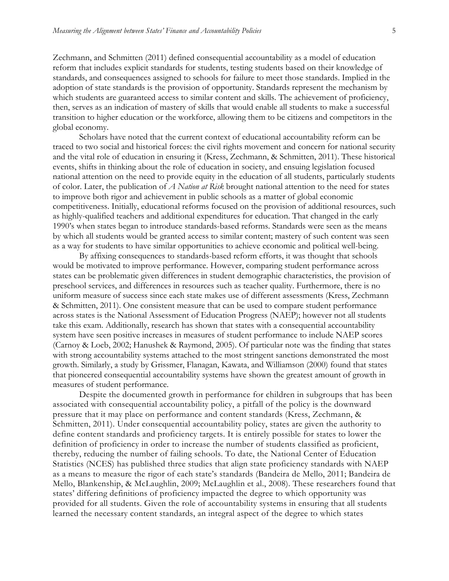Zechmann, and Schmitten (2011) defined consequential accountability as a model of education reform that includes explicit standards for students, testing students based on their knowledge of standards, and consequences assigned to schools for failure to meet those standards. Implied in the adoption of state standards is the provision of opportunity. Standards represent the mechanism by which students are guaranteed access to similar content and skills. The achievement of proficiency, then, serves as an indication of mastery of skills that would enable all students to make a successful transition to higher education or the workforce, allowing them to be citizens and competitors in the global economy.

Scholars have noted that the current context of educational accountability reform can be traced to two social and historical forces: the civil rights movement and concern for national security and the vital role of education in ensuring it (Kress, Zechmann, & Schmitten, 2011). These historical events, shifts in thinking about the role of education in society, and ensuing legislation focused national attention on the need to provide equity in the education of all students, particularly students of color. Later, the publication of *A Nation at Risk* brought national attention to the need for states to improve both rigor and achievement in public schools as a matter of global economic competitiveness. Initially, educational reforms focused on the provision of additional resources, such as highly-qualified teachers and additional expenditures for education. That changed in the early 1990's when states began to introduce standards-based reforms. Standards were seen as the means by which all students would be granted access to similar content; mastery of such content was seen as a way for students to have similar opportunities to achieve economic and political well-being.

By affixing consequences to standards-based reform efforts, it was thought that schools would be motivated to improve performance. However, comparing student performance across states can be problematic given differences in student demographic characteristics, the provision of preschool services, and differences in resources such as teacher quality. Furthermore, there is no uniform measure of success since each state makes use of different assessments (Kress, Zechmann & Schmitten, 2011). One consistent measure that can be used to compare student performance across states is the National Assessment of Education Progress (NAEP); however not all students take this exam. Additionally, research has shown that states with a consequential accountability system have seen positive increases in measures of student performance to include NAEP scores (Carnoy & Loeb, 2002; Hanushek & Raymond, 2005). Of particular note was the finding that states with strong accountability systems attached to the most stringent sanctions demonstrated the most growth. Similarly, a study by Grissmer, Flanagan, Kawata, and Williamson (2000) found that states that pioneered consequential accountability systems have shown the greatest amount of growth in measures of student performance.

Despite the documented growth in performance for children in subgroups that has been associated with consequential accountability policy, a pitfall of the policy is the downward pressure that it may place on performance and content standards (Kress, Zechmann, & Schmitten, 2011). Under consequential accountability policy, states are given the authority to define content standards and proficiency targets. It is entirely possible for states to lower the definition of proficiency in order to increase the number of students classified as proficient, thereby, reducing the number of failing schools. To date, the National Center of Education Statistics (NCES) has published three studies that align state proficiency standards with NAEP as a means to measure the rigor of each state's standards (Bandeira de Mello, 2011; Bandeira de Mello, Blankenship, & McLaughlin, 2009; McLaughlin et al., 2008). These researchers found that states' differing definitions of proficiency impacted the degree to which opportunity was provided for all students. Given the role of accountability systems in ensuring that all students learned the necessary content standards, an integral aspect of the degree to which states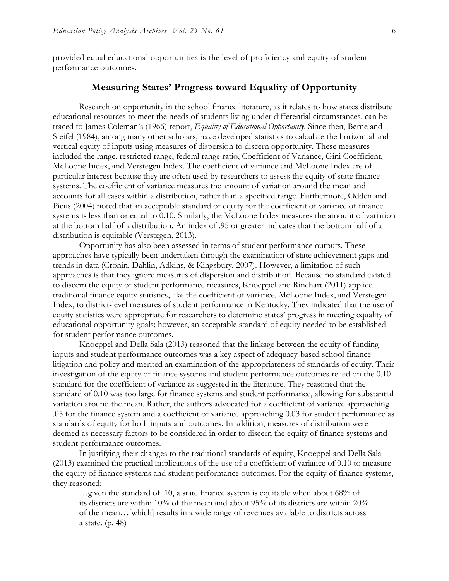provided equal educational opportunities is the level of proficiency and equity of student performance outcomes.

#### **Measuring States' Progress toward Equality of Opportunity**

Research on opportunity in the school finance literature, as it relates to how states distribute educational resources to meet the needs of students living under differential circumstances, can be traced to James Coleman's (1966) report, *Equality of Educational Opportunity*. Since then, Berne and Steifel (1984), among many other scholars, have developed statistics to calculate the horizontal and vertical equity of inputs using measures of dispersion to discern opportunity. These measures included the range, restricted range, federal range ratio, Coefficient of Variance, Gini Coefficient, McLoone Index, and Verstegen Index. The coefficient of variance and McLoone Index are of particular interest because they are often used by researchers to assess the equity of state finance systems. The coefficient of variance measures the amount of variation around the mean and accounts for all cases within a distribution, rather than a specified range. Furthermore, Odden and Picus (2004) noted that an acceptable standard of equity for the coefficient of variance of finance systems is less than or equal to 0.10. Similarly, the McLoone Index measures the amount of variation at the bottom half of a distribution. An index of .95 or greater indicates that the bottom half of a distribution is equitable (Verstegen, 2013).

Opportunity has also been assessed in terms of student performance outputs. These approaches have typically been undertaken through the examination of state achievement gaps and trends in data (Cronin, Dahlin, Adkins, & Kingsbury, 2007). However, a limitation of such approaches is that they ignore measures of dispersion and distribution. Because no standard existed to discern the equity of student performance measures, Knoeppel and Rinehart (2011) applied traditional finance equity statistics, like the coefficient of variance, McLoone Index, and Verstegen Index, to district-level measures of student performance in Kentucky. They indicated that the use of equity statistics were appropriate for researchers to determine states' progress in meeting equality of educational opportunity goals; however, an acceptable standard of equity needed to be established for student performance outcomes.

Knoeppel and Della Sala (2013) reasoned that the linkage between the equity of funding inputs and student performance outcomes was a key aspect of adequacy-based school finance litigation and policy and merited an examination of the appropriateness of standards of equity. Their investigation of the equity of finance systems and student performance outcomes relied on the 0.10 standard for the coefficient of variance as suggested in the literature. They reasoned that the standard of 0.10 was too large for finance systems and student performance, allowing for substantial variation around the mean. Rather, the authors advocated for a coefficient of variance approaching .05 for the finance system and a coefficient of variance approaching 0.03 for student performance as standards of equity for both inputs and outcomes. In addition, measures of distribution were deemed as necessary factors to be considered in order to discern the equity of finance systems and student performance outcomes.

In justifying their changes to the traditional standards of equity, Knoeppel and Della Sala (2013) examined the practical implications of the use of a coefficient of variance of 0.10 to measure the equity of finance systems and student performance outcomes. For the equity of finance systems, they reasoned:

…given the standard of .10, a state finance system is equitable when about 68% of its districts are within 10% of the mean and about 95% of its districts are within 20% of the mean…[which] results in a wide range of revenues available to districts across a state. (p. 48)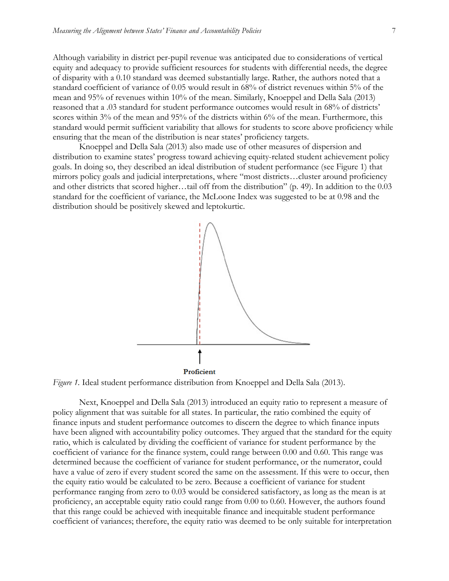Although variability in district per-pupil revenue was anticipated due to considerations of vertical equity and adequacy to provide sufficient resources for students with differential needs, the degree of disparity with a 0.10 standard was deemed substantially large. Rather, the authors noted that a standard coefficient of variance of 0.05 would result in 68% of district revenues within 5% of the mean and 95% of revenues within 10% of the mean. Similarly, Knoeppel and Della Sala (2013) reasoned that a .03 standard for student performance outcomes would result in 68% of districts' scores within 3% of the mean and 95% of the districts within 6% of the mean. Furthermore, this standard would permit sufficient variability that allows for students to score above proficiency while ensuring that the mean of the distribution is near states' proficiency targets.

Knoeppel and Della Sala (2013) also made use of other measures of dispersion and distribution to examine states' progress toward achieving equity-related student achievement policy goals. In doing so, they described an ideal distribution of student performance (see Figure 1) that mirrors policy goals and judicial interpretations, where "most districts…cluster around proficiency and other districts that scored higher…tail off from the distribution" (p. 49). In addition to the 0.03 standard for the coefficient of variance, the McLoone Index was suggested to be at 0.98 and the distribution should be positively skewed and leptokurtic.



*Figure 1.* Ideal student performance distribution from Knoeppel and Della Sala (2013).

Next, Knoeppel and Della Sala (2013) introduced an equity ratio to represent a measure of policy alignment that was suitable for all states. In particular, the ratio combined the equity of finance inputs and student performance outcomes to discern the degree to which finance inputs have been aligned with accountability policy outcomes. They argued that the standard for the equity ratio, which is calculated by dividing the coefficient of variance for student performance by the coefficient of variance for the finance system, could range between 0.00 and 0.60. This range was determined because the coefficient of variance for student performance, or the numerator, could have a value of zero if every student scored the same on the assessment. If this were to occur, then the equity ratio would be calculated to be zero. Because a coefficient of variance for student performance ranging from zero to 0.03 would be considered satisfactory, as long as the mean is at proficiency, an acceptable equity ratio could range from 0.00 to 0.60. However, the authors found that this range could be achieved with inequitable finance and inequitable student performance coefficient of variances; therefore, the equity ratio was deemed to be only suitable for interpretation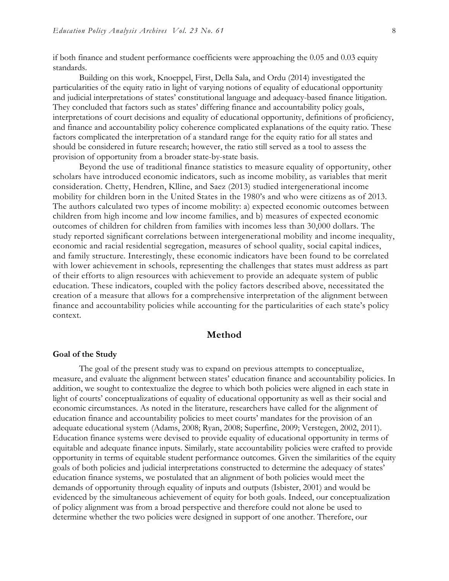if both finance and student performance coefficients were approaching the 0.05 and 0.03 equity standards.

Building on this work, Knoeppel, First, Della Sala, and Ordu (2014) investigated the particularities of the equity ratio in light of varying notions of equality of educational opportunity and judicial interpretations of states' constitutional language and adequacy-based finance litigation. They concluded that factors such as states' differing finance and accountability policy goals, interpretations of court decisions and equality of educational opportunity, definitions of proficiency, and finance and accountability policy coherence complicated explanations of the equity ratio. These factors complicated the interpretation of a standard range for the equity ratio for all states and should be considered in future research; however, the ratio still served as a tool to assess the provision of opportunity from a broader state-by-state basis.

Beyond the use of traditional finance statistics to measure equality of opportunity, other scholars have introduced economic indicators, such as income mobility, as variables that merit consideration. Chetty, Hendren, Klline, and Saez (2013) studied intergenerational income mobility for children born in the United States in the 1980's and who were citizens as of 2013. The authors calculated two types of income mobility: a) expected economic outcomes between children from high income and low income families, and b) measures of expected economic outcomes of children for children from families with incomes less than 30,000 dollars. The study reported significant correlations between intergenerational mobility and income inequality, economic and racial residential segregation, measures of school quality, social capital indices, and family structure. Interestingly, these economic indicators have been found to be correlated with lower achievement in schools, representing the challenges that states must address as part of their efforts to align resources with achievement to provide an adequate system of public education. These indicators, coupled with the policy factors described above, necessitated the creation of a measure that allows for a comprehensive interpretation of the alignment between finance and accountability policies while accounting for the particularities of each state's policy context.

#### **Method**

#### **Goal of the Study**

The goal of the present study was to expand on previous attempts to conceptualize, measure, and evaluate the alignment between states' education finance and accountability policies. In addition, we sought to contextualize the degree to which both policies were aligned in each state in light of courts' conceptualizations of equality of educational opportunity as well as their social and economic circumstances. As noted in the literature, researchers have called for the alignment of education finance and accountability policies to meet courts' mandates for the provision of an adequate educational system (Adams, 2008; Ryan, 2008; Superfine, 2009; Verstegen, 2002, 2011). Education finance systems were devised to provide equality of educational opportunity in terms of equitable and adequate finance inputs. Similarly, state accountability policies were crafted to provide opportunity in terms of equitable student performance outcomes. Given the similarities of the equity goals of both policies and judicial interpretations constructed to determine the adequacy of states' education finance systems, we postulated that an alignment of both policies would meet the demands of opportunity through equality of inputs and outputs (Isbister, 2001) and would be evidenced by the simultaneous achievement of equity for both goals. Indeed, our conceptualization of policy alignment was from a broad perspective and therefore could not alone be used to determine whether the two policies were designed in support of one another. Therefore, our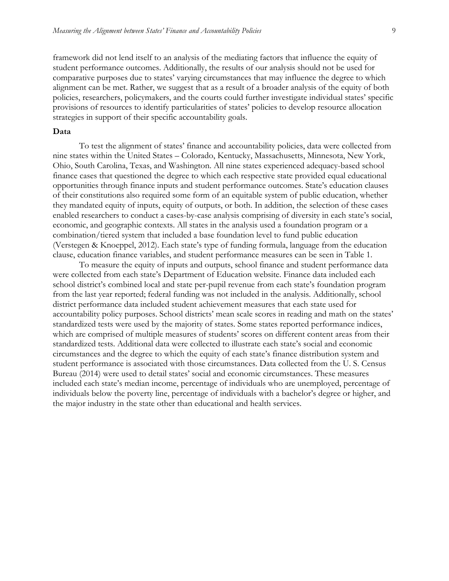framework did not lend itself to an analysis of the mediating factors that influence the equity of student performance outcomes. Additionally, the results of our analysis should not be used for comparative purposes due to states' varying circumstances that may influence the degree to which alignment can be met. Rather, we suggest that as a result of a broader analysis of the equity of both policies, researchers, policymakers, and the courts could further investigate individual states' specific provisions of resources to identify particularities of states' policies to develop resource allocation strategies in support of their specific accountability goals.

#### **Data**

To test the alignment of states' finance and accountability policies, data were collected from nine states within the United States – Colorado, Kentucky, Massachusetts, Minnesota, New York, Ohio, South Carolina, Texas, and Washington. All nine states experienced adequacy-based school finance cases that questioned the degree to which each respective state provided equal educational opportunities through finance inputs and student performance outcomes. State's education clauses of their constitutions also required some form of an equitable system of public education, whether they mandated equity of inputs, equity of outputs, or both. In addition, the selection of these cases enabled researchers to conduct a cases-by-case analysis comprising of diversity in each state's social, economic, and geographic contexts. All states in the analysis used a foundation program or a combination/tiered system that included a base foundation level to fund public education (Verstegen & Knoeppel, 2012). Each state's type of funding formula, language from the education clause, education finance variables, and student performance measures can be seen in Table 1.

To measure the equity of inputs and outputs, school finance and student performance data were collected from each state's Department of Education website. Finance data included each school district's combined local and state per-pupil revenue from each state's foundation program from the last year reported; federal funding was not included in the analysis. Additionally, school district performance data included student achievement measures that each state used for accountability policy purposes. School districts' mean scale scores in reading and math on the states' standardized tests were used by the majority of states. Some states reported performance indices, which are comprised of multiple measures of students' scores on different content areas from their standardized tests. Additional data were collected to illustrate each state's social and economic circumstances and the degree to which the equity of each state's finance distribution system and student performance is associated with those circumstances. Data collected from the U. S. Census Bureau (2014) were used to detail states' social and economic circumstances. These measures included each state's median income, percentage of individuals who are unemployed, percentage of individuals below the poverty line, percentage of individuals with a bachelor's degree or higher, and the major industry in the state other than educational and health services.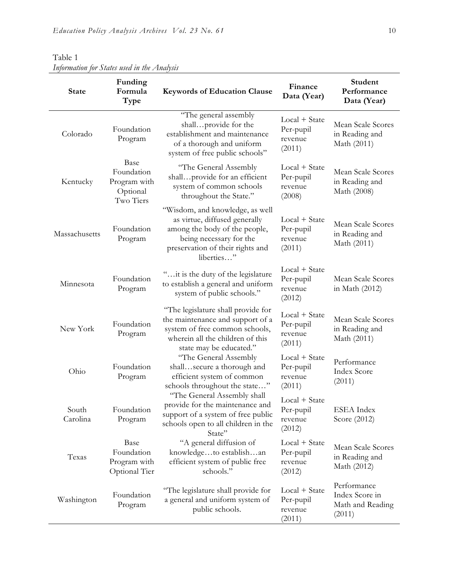| <b>State</b>      | Funding<br>Formula<br>Type                                  | <b>Keywords of Education Clause</b>                                                                                                                                            | Finance<br>Data (Year)                            | Student<br>Performance<br>Data (Year)                       |
|-------------------|-------------------------------------------------------------|--------------------------------------------------------------------------------------------------------------------------------------------------------------------------------|---------------------------------------------------|-------------------------------------------------------------|
| Colorado          | Foundation<br>Program                                       | "The general assembly<br>shallprovide for the<br>establishment and maintenance<br>of a thorough and uniform<br>system of free public schools"                                  | $Local + State$<br>Per-pupil<br>revenue<br>(2011) | Mean Scale Scores<br>in Reading and<br>Math (2011)          |
| Kentucky          | Base<br>Foundation<br>Program with<br>Optional<br>Two Tiers | "The General Assembly<br>shallprovide for an efficient<br>system of common schools<br>throughout the State."                                                                   | $Local + State$<br>Per-pupil<br>revenue<br>(2008) | Mean Scale Scores<br>in Reading and<br>Math (2008)          |
| Massachusetts     | Foundation<br>Program                                       | "Wisdom, and knowledge, as well<br>as virtue, diffused generally<br>among the body of the people,<br>being necessary for the<br>preservation of their rights and<br>liberties" | $Local + State$<br>Per-pupil<br>revenue<br>(2011) | Mean Scale Scores<br>in Reading and<br>Math (2011)          |
| Minnesota         | Foundation<br>Program                                       | "it is the duty of the legislature<br>to establish a general and uniform<br>system of public schools."                                                                         | $Local + State$<br>Per-pupil<br>revenue<br>(2012) | Mean Scale Scores<br>in Math $(2012)$                       |
| New York          | Foundation<br>Program                                       | "The legislature shall provide for<br>the maintenance and support of a<br>system of free common schools,<br>wherein all the children of this<br>state may be educated."        | $Local + State$<br>Per-pupil<br>revenue<br>(2011) | Mean Scale Scores<br>in Reading and<br>Math (2011)          |
| Ohio              | Foundation<br>Program                                       | "The General Assembly<br>shallsecure a thorough and<br>efficient system of common<br>schools throughout the state"                                                             | $Local + State$<br>Per-pupil<br>revenue<br>(2011) | Performance<br><b>Index Score</b><br>(2011)                 |
| South<br>Carolina | Foundation<br>Program                                       | "The General Assembly shall<br>provide for the maintenance and<br>support of a system of free public<br>schools open to all children in the<br>State"                          | Local + State<br>Per-pupil<br>revenue<br>(2012)   | <b>ESEA</b> Index<br>Score (2012)                           |
| Texas             | Base<br>Foundation<br>Program with<br>Optional Tier         | "A general diffusion of<br>knowledgeto establishan<br>efficient system of public free<br>schools."                                                                             | $Local + State$<br>Per-pupil<br>revenue<br>(2012) | Mean Scale Scores<br>in Reading and<br>Math (2012)          |
| Washington        | Foundation<br>Program                                       | "The legislature shall provide for<br>a general and uniform system of<br>public schools.                                                                                       | $Local + State$<br>Per-pupil<br>revenue<br>(2011) | Performance<br>Index Score in<br>Math and Reading<br>(2011) |

## Table 1 *Information for States used in the Analysis*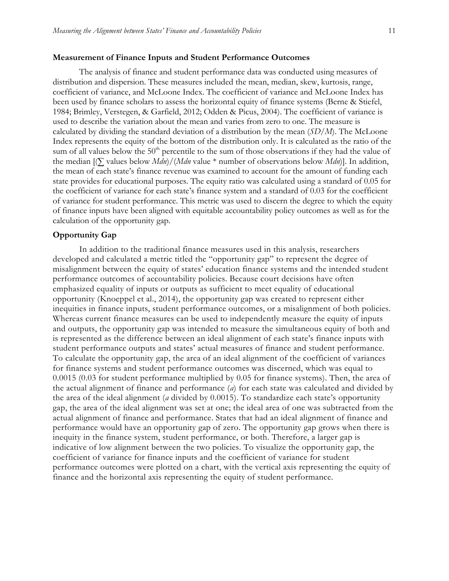#### **Measurement of Finance Inputs and Student Performance Outcomes**

The analysis of finance and student performance data was conducted using measures of distribution and dispersion. These measures included the mean, median, skew, kurtosis, range, coefficient of variance, and McLoone Index. The coefficient of variance and McLoone Index has been used by finance scholars to assess the horizontal equity of finance systems (Berne & Stiefel, 1984; Brimley, Verstegen, & Garfield, 2012; Odden & Picus, 2004). The coefficient of variance is used to describe the variation about the mean and varies from zero to one. The measure is calculated by dividing the standard deviation of a distribution by the mean (*SD*/*M*). The McLoone Index represents the equity of the bottom of the distribution only. It is calculated as the ratio of the sum of all values below the  $50<sup>th</sup>$  percentile to the sum of those observations if they had the value of the median [(∑ values below *Mdn*)/(*Mdn* value \* number of observations below *Mdn*)]. In addition, the mean of each state's finance revenue was examined to account for the amount of funding each state provides for educational purposes. The equity ratio was calculated using a standard of 0.05 for the coefficient of variance for each state's finance system and a standard of 0.03 for the coefficient of variance for student performance. This metric was used to discern the degree to which the equity of finance inputs have been aligned with equitable accountability policy outcomes as well as for the calculation of the opportunity gap.

#### **Opportunity Gap**

In addition to the traditional finance measures used in this analysis, researchers developed and calculated a metric titled the "opportunity gap" to represent the degree of misalignment between the equity of states' education finance systems and the intended student performance outcomes of accountability policies. Because court decisions have often emphasized equality of inputs or outputs as sufficient to meet equality of educational opportunity (Knoeppel et al., 2014), the opportunity gap was created to represent either inequities in finance inputs, student performance outcomes, or a misalignment of both policies. Whereas current finance measures can be used to independently measure the equity of inputs and outputs, the opportunity gap was intended to measure the simultaneous equity of both and is represented as the difference between an ideal alignment of each state's finance inputs with student performance outputs and states' actual measures of finance and student performance. To calculate the opportunity gap, the area of an ideal alignment of the coefficient of variances for finance systems and student performance outcomes was discerned, which was equal to 0.0015 (0.03 for student performance multiplied by 0.05 for finance systems). Then, the area of the actual alignment of finance and performance (*a*) for each state was calculated and divided by the area of the ideal alignment (*a* divided by 0.0015). To standardize each state's opportunity gap, the area of the ideal alignment was set at one; the ideal area of one was subtracted from the actual alignment of finance and performance. States that had an ideal alignment of finance and performance would have an opportunity gap of zero. The opportunity gap grows when there is inequity in the finance system, student performance, or both. Therefore, a larger gap is indicative of low alignment between the two policies. To visualize the opportunity gap, the coefficient of variance for finance inputs and the coefficient of variance for student performance outcomes were plotted on a chart, with the vertical axis representing the equity of finance and the horizontal axis representing the equity of student performance.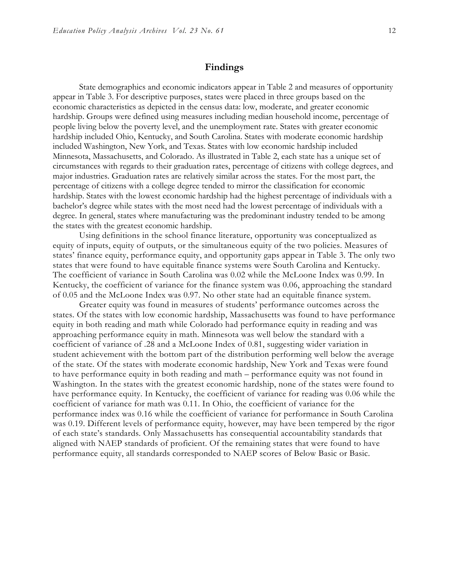#### **Findings**

State demographics and economic indicators appear in Table 2 and measures of opportunity appear in Table 3. For descriptive purposes, states were placed in three groups based on the economic characteristics as depicted in the census data: low, moderate, and greater economic hardship. Groups were defined using measures including median household income, percentage of people living below the poverty level, and the unemployment rate. States with greater economic hardship included Ohio, Kentucky, and South Carolina. States with moderate economic hardship included Washington, New York, and Texas. States with low economic hardship included Minnesota, Massachusetts, and Colorado. As illustrated in Table 2, each state has a unique set of circumstances with regards to their graduation rates, percentage of citizens with college degrees, and major industries. Graduation rates are relatively similar across the states. For the most part, the percentage of citizens with a college degree tended to mirror the classification for economic hardship. States with the lowest economic hardship had the highest percentage of individuals with a bachelor's degree while states with the most need had the lowest percentage of individuals with a degree. In general, states where manufacturing was the predominant industry tended to be among the states with the greatest economic hardship.

Using definitions in the school finance literature, opportunity was conceptualized as equity of inputs, equity of outputs, or the simultaneous equity of the two policies. Measures of states' finance equity, performance equity, and opportunity gaps appear in Table 3. The only two states that were found to have equitable finance systems were South Carolina and Kentucky. The coefficient of variance in South Carolina was 0.02 while the McLoone Index was 0.99. In Kentucky, the coefficient of variance for the finance system was 0.06, approaching the standard of 0.05 and the McLoone Index was 0.97. No other state had an equitable finance system.

Greater equity was found in measures of students' performance outcomes across the states. Of the states with low economic hardship, Massachusetts was found to have performance equity in both reading and math while Colorado had performance equity in reading and was approaching performance equity in math. Minnesota was well below the standard with a coefficient of variance of .28 and a McLoone Index of 0.81, suggesting wider variation in student achievement with the bottom part of the distribution performing well below the average of the state. Of the states with moderate economic hardship, New York and Texas were found to have performance equity in both reading and math – performance equity was not found in Washington. In the states with the greatest economic hardship, none of the states were found to have performance equity. In Kentucky, the coefficient of variance for reading was 0.06 while the coefficient of variance for math was 0.11. In Ohio, the coefficient of variance for the performance index was 0.16 while the coefficient of variance for performance in South Carolina was 0.19. Different levels of performance equity, however, may have been tempered by the rigor of each state's standards. Only Massachusetts has consequential accountability standards that aligned with NAEP standards of proficient. Of the remaining states that were found to have performance equity, all standards corresponded to NAEP scores of Below Basic or Basic.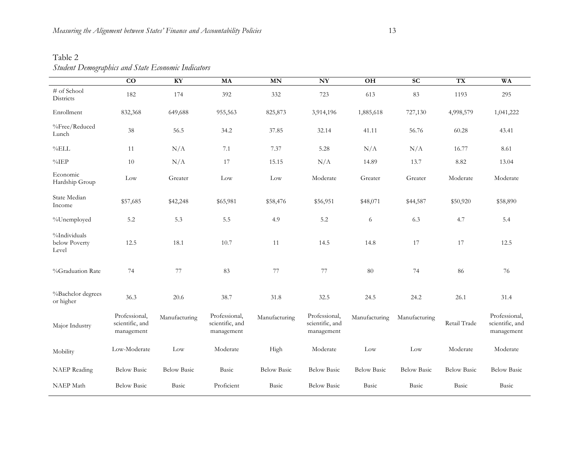## Table 2 *Student Demographics and State Economic Indicators*

|                                        | $\overline{co}$                                | KY                 | MA                                             | <b>MN</b>          | NY                                             | <b>OH</b>          | SC                 | TX                 | WA                                             |
|----------------------------------------|------------------------------------------------|--------------------|------------------------------------------------|--------------------|------------------------------------------------|--------------------|--------------------|--------------------|------------------------------------------------|
| # of School<br>Districts               | 182                                            | 174                | 392                                            | 332                | 723                                            | 613                | 83                 | 1193               | 295                                            |
| Enrollment                             | 832,368                                        | 649,688            | 955,563                                        | 825,873            | 3,914,196                                      | 1,885,618          | 727,130            | 4,998,579          | 1,041,222                                      |
| %Free/Reduced<br>Lunch                 | 38                                             | 56.5               | 34.2                                           | 37.85              | 32.14                                          | 41.11              | 56.76              | 60.28              | 43.41                                          |
| %ELL                                   | 11                                             | N/A                | 7.1                                            | 7.37               | 5.28                                           | N/A                | N/A                | 16.77              | 8.61                                           |
| $\%$ IEP                               | 10                                             | N/A                | 17                                             | 15.15              | N/A                                            | 14.89              | 13.7               | 8.82               | 13.04                                          |
| Economic<br>Hardship Group             | Low                                            | Greater            | Low                                            | Low                | Moderate                                       | Greater            | Greater            | Moderate           | Moderate                                       |
| State Median<br>Income                 | \$57,685                                       | \$42,248           | \$65,981                                       | \$58,476           | \$56,951                                       | \$48,071           | \$44,587           | \$50,920           | \$58,890                                       |
| %Unemployed                            | 5.2                                            | 5.3                | 5.5                                            | 4.9                | $5.2\,$                                        | 6                  | 6.3                | 4.7                | 5.4                                            |
| %Individuals<br>below Poverty<br>Level | 12.5                                           | 18.1               | 10.7                                           | 11                 | 14.5                                           | 14.8               | 17                 | 17                 | 12.5                                           |
| %Graduation Rate                       | 74                                             | 77                 | 83                                             | 77                 | 77                                             | 80                 | 74                 | 86                 | 76                                             |
| %Bachelor degrees<br>or higher         | 36.3                                           | 20.6               | 38.7                                           | 31.8               | 32.5                                           | 24.5               | 24.2               | 26.1               | 31.4                                           |
| Major Industry                         | Professional,<br>scientific, and<br>management | Manufacturing      | Professional,<br>scientific, and<br>management | Manufacturing      | Professional,<br>scientific, and<br>management | Manufacturing      | Manufacturing      | Retail Trade       | Professional,<br>scientific, and<br>management |
| Mobility                               | Low-Moderate                                   | Low                | Moderate                                       | High               | Moderate                                       | Low                | Low                | Moderate           | Moderate                                       |
| <b>NAEP</b> Reading                    | <b>Below Basic</b>                             | <b>Below Basic</b> | Basic                                          | <b>Below Basic</b> | <b>Below Basic</b>                             | <b>Below Basic</b> | <b>Below Basic</b> | <b>Below Basic</b> | <b>Below Basic</b>                             |
| NAEP Math                              | <b>Below Basic</b>                             | Basic              | Proficient                                     | Basic              | <b>Below Basic</b>                             | Basic              | Basic              | Basic              | Basic                                          |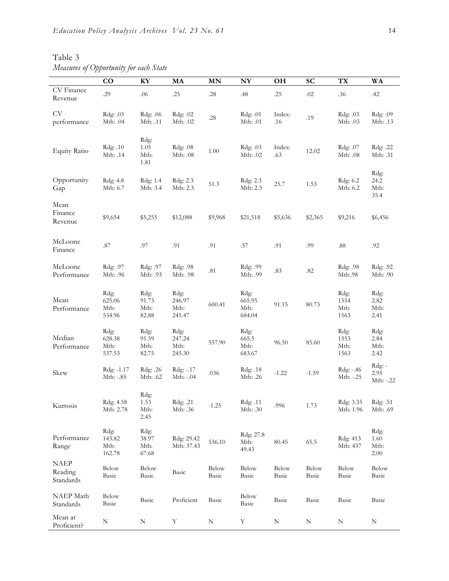## Table 3 *Measures of Opportunity for each State*

|                                     | CO                               | KY                             | MA                               | <b>MN</b>      | NY                               | <b>OH</b>      | <b>SC</b>      | TX                           | WA                           |
|-------------------------------------|----------------------------------|--------------------------------|----------------------------------|----------------|----------------------------------|----------------|----------------|------------------------------|------------------------------|
| CV Finance<br>Revenue               | .29                              | .06                            | .25                              | .28            | .48                              | .25            | .02            | .36                          | .42                          |
| <b>CV</b><br>performance            | Rdg: .03<br>Mth: .04             | Rdg: .06<br>Mth: .11           | Rdg: .02<br>Mth: .02             | .28            | Rdg: .01<br>Mth: .01             | Index:<br>.16  | .19            | Rdg: .03<br>Mth: .03         | Rdg: .09<br>Mth: .13         |
| <b>Equity Ratio</b>                 | Rdg: .10<br>Mth: .14             | Rdg:<br>1.05<br>Mth:<br>1.81   | Rdg: .08<br>Mth: .08             | $1.00\,$       | Rdg: .03<br>Mth: .02             | Index:<br>.63  | 12.02          | Rdg: .07<br>Mth: .08         | Rdg: .22<br>Mth: .31         |
| Opportunity<br>Gap                  | Rdg: 4.8<br>Mth: 6.7             | Rdg: 1.4<br>Mth: 3.4           | Rdg: 2.3<br>Mth: 2.3             | 51.3           | Rdg: 2.3<br>Mth: 2.3             | 25.7           | 1.53           | Rdg: 6.2<br>Mth: 6.2         | Rdg:<br>24.2<br>Mth:<br>35.4 |
| Mean<br>Finance<br>Revenue          | \$9,654                          | \$5,255                        | \$12,088                         | \$9,968        | \$21,518                         | \$5,636        | \$2,365        | \$9,216                      | \$6,456                      |
| McLoone<br>Finance                  | .87                              | .97                            | .91                              | .91            | .57                              | .91            | .99            | $.88\,$                      | .92                          |
| McLoone<br>Performance              | Rdg: .97<br>Mth: .96             | Rdg: .97<br>Mth: .93           | Rdg: .98<br>Mth: .98             | .81            | Rdg: .99<br>Mth: .99             | .83            | .82            | Rdg: .98<br>Mth:.98          | Rdg: .92<br>Mth: .90         |
| Mean<br>Performance                 | Rdg:<br>625.06<br>Mth:<br>534.96 | Rdg:<br>91.73<br>Mth:<br>82.88 | Rdg:<br>246.97<br>Mth:<br>245.47 | 600.41         | Rdg:<br>665.95<br>Mth:<br>684.04 | 91.15          | 80.73          | Rdg:<br>1554<br>Mth:<br>1563 | Rdg:<br>2.82<br>Mth:<br>2.41 |
| Median<br>Performance               | Rdg:<br>628.38<br>Mth:<br>537.53 | Rdg:<br>91.59<br>Mth:<br>82.75 | Rdg:<br>247.24<br>Mth:<br>245.30 | 557.90         | Rdg:<br>665.5<br>Mth:<br>683.67  | 96.50          | 85.60          | Rdg:<br>1553<br>Mth:<br>1563 | Rdg:<br>2.84<br>Mth:<br>2.42 |
| Skew                                | Rdg: -1.17<br>Mth: -.85          | Rdg: .26<br>Mth: .62           | Rdg: -.17<br>Mth: -.04           | .036           | Rdg: .18<br>Mth: .26             | $-1.22$        | $-1.59$        | Rdg: -.46<br>Mth: -.25       | Rdg: -<br>2.95<br>Mth: -.22  |
| Kurtosis                            | Rdg: 4.58<br>Mth: 2.78           | Rdg:<br>1.53<br>Mth:<br>2.45   | Rdg: .21<br>Mth: .36             | $-1.25$        | Rdg: .11<br>Mth: .30             | .996           | 1.73           | Rdg: 3.35<br>Mth: 1.96       | Rdg: .51<br>Mth: .69         |
| Performance<br>Range                | Rdg:<br>143.82<br>Mth:<br>162.78 | Rdg:<br>38.97<br>Mth:<br>67.68 | Rdg: 29.42<br>Mth: 37.43         | 536.10         | Rdg: 27.8<br>Mth:<br>49.43       | 80.45          | 65.5           | Rdg: 413<br>Mth: 437         | Rdg:<br>1.60<br>Mth:<br>2.00 |
| <b>NAEP</b><br>Reading<br>Standards | Below<br>Basic                   | Below<br>Basic                 | Basic                            | Below<br>Basic | Below<br>Basic                   | Below<br>Basic | Below<br>Basic | Below<br>Basic               | Below<br>Basic               |
| NAEP Math<br>Standards              | Below<br>Basic                   | Basic                          | Proficient                       | Basic          | Below<br>Basic                   | Basic          | Basic          | Basic                        | Basic                        |
| Mean at<br>Proficient?              | N                                | N                              | Y                                | N              | Υ                                | N              | N              | N                            | N                            |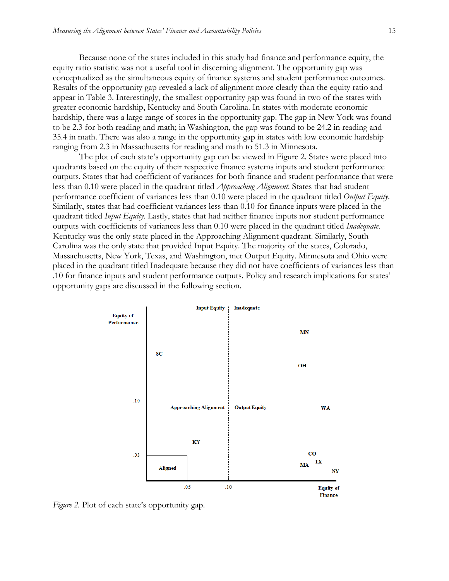Because none of the states included in this study had finance and performance equity, the equity ratio statistic was not a useful tool in discerning alignment. The opportunity gap was conceptualized as the simultaneous equity of finance systems and student performance outcomes. Results of the opportunity gap revealed a lack of alignment more clearly than the equity ratio and appear in Table 3. Interestingly, the smallest opportunity gap was found in two of the states with greater economic hardship, Kentucky and South Carolina. In states with moderate economic hardship, there was a large range of scores in the opportunity gap. The gap in New York was found to be 2.3 for both reading and math; in Washington, the gap was found to be 24.2 in reading and 35.4 in math. There was also a range in the opportunity gap in states with low economic hardship ranging from 2.3 in Massachusetts for reading and math to 51.3 in Minnesota.

The plot of each state's opportunity gap can be viewed in Figure 2. States were placed into quadrants based on the equity of their respective finance systems inputs and student performance outputs. States that had coefficient of variances for both finance and student performance that were less than 0.10 were placed in the quadrant titled *Approaching Alignment*. States that had student performance coefficient of variances less than 0.10 were placed in the quadrant titled *Output Equity*. Similarly, states that had coefficient variances less than 0.10 for finance inputs were placed in the quadrant titled *Input Equity*. Lastly, states that had neither finance inputs nor student performance outputs with coefficients of variances less than 0.10 were placed in the quadrant titled *Inadequate*. Kentucky was the only state placed in the Approaching Alignment quadrant. Similarly, South Carolina was the only state that provided Input Equity. The majority of the states, Colorado, Massachusetts, New York, Texas, and Washington, met Output Equity. Minnesota and Ohio were placed in the quadrant titled Inadequate because they did not have coefficients of variances less than .10 for finance inputs and student performance outputs. Policy and research implications for states' opportunity gaps are discussed in the following section.



*Figure 2.* Plot of each state's opportunity gap.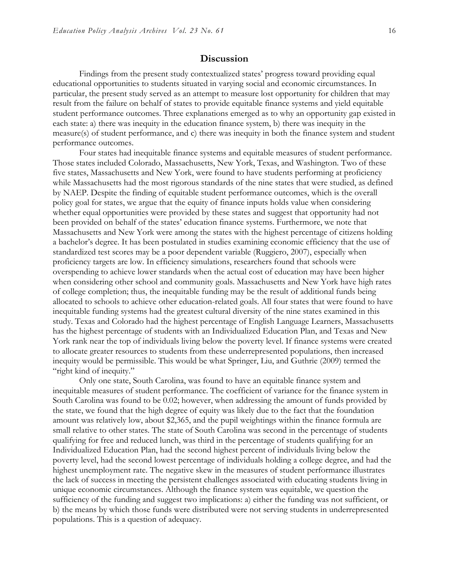#### **Discussion**

Findings from the present study contextualized states' progress toward providing equal educational opportunities to students situated in varying social and economic circumstances. In particular, the present study served as an attempt to measure lost opportunity for children that may result from the failure on behalf of states to provide equitable finance systems and yield equitable student performance outcomes. Three explanations emerged as to why an opportunity gap existed in each state: a) there was inequity in the education finance system, b) there was inequity in the measure(s) of student performance, and c) there was inequity in both the finance system and student performance outcomes.

Four states had inequitable finance systems and equitable measures of student performance. Those states included Colorado, Massachusetts, New York, Texas, and Washington. Two of these five states, Massachusetts and New York, were found to have students performing at proficiency while Massachusetts had the most rigorous standards of the nine states that were studied, as defined by NAEP. Despite the finding of equitable student performance outcomes, which is the overall policy goal for states, we argue that the equity of finance inputs holds value when considering whether equal opportunities were provided by these states and suggest that opportunity had not been provided on behalf of the states' education finance systems. Furthermore, we note that Massachusetts and New York were among the states with the highest percentage of citizens holding a bachelor's degree. It has been postulated in studies examining economic efficiency that the use of standardized test scores may be a poor dependent variable (Ruggiero, 2007), especially when proficiency targets are low. In efficiency simulations, researchers found that schools were overspending to achieve lower standards when the actual cost of education may have been higher when considering other school and community goals. Massachusetts and New York have high rates of college completion; thus, the inequitable funding may be the result of additional funds being allocated to schools to achieve other education-related goals. All four states that were found to have inequitable funding systems had the greatest cultural diversity of the nine states examined in this study. Texas and Colorado had the highest percentage of English Language Learners, Massachusetts has the highest percentage of students with an Individualized Education Plan, and Texas and New York rank near the top of individuals living below the poverty level. If finance systems were created to allocate greater resources to students from these underrepresented populations, then increased inequity would be permissible. This would be what Springer, Liu, and Guthrie (2009) termed the "right kind of inequity."

Only one state, South Carolina, was found to have an equitable finance system and inequitable measures of student performance. The coefficient of variance for the finance system in South Carolina was found to be 0.02; however, when addressing the amount of funds provided by the state, we found that the high degree of equity was likely due to the fact that the foundation amount was relatively low, about \$2,365, and the pupil weightings within the finance formula are small relative to other states. The state of South Carolina was second in the percentage of students qualifying for free and reduced lunch, was third in the percentage of students qualifying for an Individualized Education Plan, had the second highest percent of individuals living below the poverty level, had the second lowest percentage of individuals holding a college degree, and had the highest unemployment rate. The negative skew in the measures of student performance illustrates the lack of success in meeting the persistent challenges associated with educating students living in unique economic circumstances. Although the finance system was equitable, we question the sufficiency of the funding and suggest two implications: a) either the funding was not sufficient, or b) the means by which those funds were distributed were not serving students in underrepresented populations. This is a question of adequacy.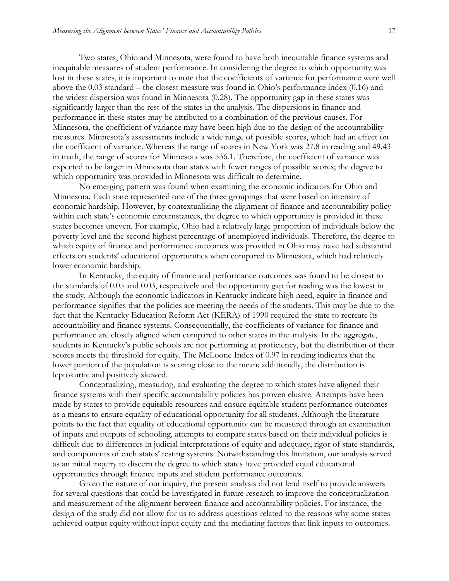Two states, Ohio and Minnesota, were found to have both inequitable finance systems and inequitable measures of student performance. In considering the degree to which opportunity was lost in these states, it is important to note that the coefficients of variance for performance were well above the 0.03 standard – the closest measure was found in Ohio's performance index (0.16) and the widest dispersion was found in Minnesota (0.28). The opportunity gap in these states was significantly larger than the rest of the states in the analysis. The dispersions in finance and performance in these states may be attributed to a combination of the previous causes. For Minnesota, the coefficient of variance may have been high due to the design of the accountability measures. Minnesota's assessments include a wide range of possible scores, which had an effect on the coefficient of variance. Whereas the range of scores in New York was 27.8 in reading and 49.43 in math, the range of scores for Minnesota was 536.1. Therefore, the coefficient of variance was expected to be larger in Minnesota than states with fewer ranges of possible scores; the degree to which opportunity was provided in Minnesota was difficult to determine.

No emerging pattern was found when examining the economic indicators for Ohio and Minnesota. Each state represented one of the three groupings that were based on intensity of economic hardship. However, by contextualizing the alignment of finance and accountability policy within each state's economic circumstances, the degree to which opportunity is provided in these states becomes uneven. For example, Ohio had a relatively large proportion of individuals below the poverty level and the second highest percentage of unemployed individuals. Therefore, the degree to which equity of finance and performance outcomes was provided in Ohio may have had substantial effects on students' educational opportunities when compared to Minnesota, which had relatively lower economic hardship.

In Kentucky, the equity of finance and performance outcomes was found to be closest to the standards of 0.05 and 0.03, respectively and the opportunity gap for reading was the lowest in the study. Although the economic indicators in Kentucky indicate high need, equity in finance and performance signifies that the policies are meeting the needs of the students. This may be due to the fact that the Kentucky Education Reform Act (KERA) of 1990 required the state to recreate its accountability and finance systems. Consequentially, the coefficients of variance for finance and performance are closely aligned when compared to other states in the analysis. In the aggregate, students in Kentucky's public schools are not performing at proficiency, but the distribution of their scores meets the threshold for equity. The McLoone Index of 0.97 in reading indicates that the lower portion of the population is scoring close to the mean; additionally, the distribution is leptokurtic and positively skewed.

Conceptualizing, measuring, and evaluating the degree to which states have aligned their finance systems with their specific accountability policies has proven elusive. Attempts have been made by states to provide equitable resources and ensure equitable student performance outcomes as a means to ensure equality of educational opportunity for all students. Although the literature points to the fact that equality of educational opportunity can be measured through an examination of inputs and outputs of schooling, attempts to compare states based on their individual policies is difficult due to differences in judicial interpretations of equity and adequacy, rigor of state standards, and components of each states' testing systems. Notwithstanding this limitation, our analysis served as an initial inquiry to discern the degree to which states have provided equal educational opportunities through finance inputs and student performance outcomes.

Given the nature of our inquiry, the present analysis did not lend itself to provide answers for several questions that could be investigated in future research to improve the conceptualization and measurement of the alignment between finance and accountability policies. For instance, the design of the study did not allow for us to address questions related to the reasons why some states achieved output equity without input equity and the mediating factors that link inputs to outcomes.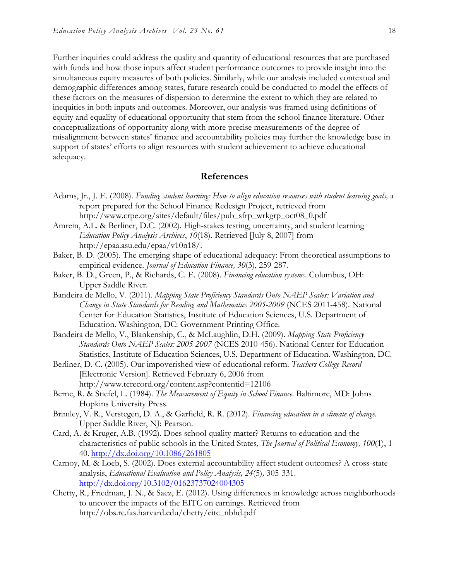Further inquiries could address the quality and quantity of educational resources that are purchased with funds and how those inputs affect student performance outcomes to provide insight into the simultaneous equity measures of both policies. Similarly, while our analysis included contextual and demographic differences among states, future research could be conducted to model the effects of these factors on the measures of dispersion to determine the extent to which they are related to inequities in both inputs and outcomes. Moreover, our analysis was framed using definitions of equity and equality of educational opportunity that stem from the school finance literature. Other conceptualizations of opportunity along with more precise measurements of the degree of misalignment between states' finance and accountability policies may further the knowledge base in support of states' efforts to align resources with student achievement to achieve educational adequacy.

#### **References**

- Adams, Jr., J. E. (2008). *Funding student learning: How to align education resources with student learning goals,* a report prepared for the School Finance Redesign Project, retrieved from http://www.crpe.org/sites/default/files/pub\_sfrp\_wrkgrp\_oct08\_0.pdf
- Amrein, A.L. & Berliner, D.C. (2002). High-stakes testing, uncertainty, and student learning *Education Policy Analysis Archives*, *10*(18). Retrieved [July 8, 2007] from http://epaa.asu.edu/epaa/v10n18/.
- Baker, B. D. (2005). The emerging shape of educational adequacy: From theoretical assumptions to empirical evidence. *Journal of Education Finance, 30*(3), 259-287.
- Baker, B. D., Green, P., & Richards, C. E. (2008). *Financing education systems*. Columbus, OH: Upper Saddle River.
- Bandeira de Mello, V. (2011). *Mapping State Proficiency Standards Onto NAEP Scales: Variation and Change in State Standards for Reading and Mathematics 2005-2009* (NCES 2011-458). National Center for Education Statistics, Institute of Education Sciences, U.S. Department of Education. Washington, DC: Government Printing Office.
- Bandeira de Mello, V., Blankenship, C., & McLaughlin, D.H. (2009). *Mapping State Proficiency Standards Onto NAEP Scales: 2005-2007* (NCES 2010-456). National Center for Education Statistics, Institute of Education Sciences, U.S. Department of Education. Washington, DC.
- Berliner, D. C. (2005). Our impoverished view of educational reform. *Teachers College Record*  [Electronic Version]. Retrieved February 6, 2006 from http://www.tcrecord.org/content.asp?contentid=12106
- Berne, R. & Stiefel, L. (1984). *The Measurement of Equity in School Finance*. Baltimore, MD: Johns Hopkins University Press.
- Brimley, V. R., Verstegen, D. A., & Garfield, R. R. (2012). *Financing education in a climate of change*. Upper Saddle River, NJ: Pearson.
- Card, A. & Kruger, A.B. (1992). Does school quality matter? Returns to education and the characteristics of public schools in the United States, *The Journal of Political Economy, 100*(1), 1- 40. http://dx.doi.org/10.1086/261805
- Carnoy, M. & Loeb, S. (2002). Does external accountability affect student outcomes? A cross-state analysis, *Educational Evaluation and Policy Analysis, 24*(5)*,* 305-331. http://dx.doi.org/10.3102/01623737024004305
- Chetty, R., Friedman, J. N., & Saez, E. (2012). Using differences in knowledge across neighborhoods to uncover the impacts of the EITC on earnings. Retrieved from http://obs.rc.fas.harvard.edu/chetty/eitc\_nbhd.pdf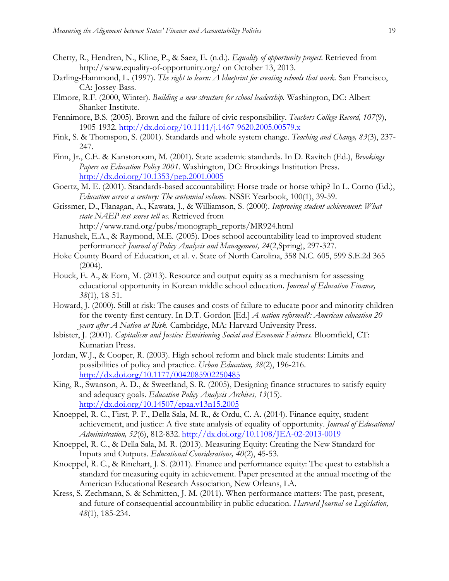- Chetty, R., Hendren, N., Kline, P., & Saez, E. (n.d.). *Equality of opportunity project*. Retrieved from http://www.equality-of-opportunity.org/ on October 13, 2013.
- Darling-Hammond, L. (1997). *The right to learn: A blueprint for creating schools that work.* San Francisco, CA: Jossey-Bass.
- Elmore, R.F. (2000, Winter). *Building a new structure for school leadership.* Washington, DC: Albert Shanker Institute.
- Fennimore, B.S. (2005). Brown and the failure of civic responsibility. *Teachers College Record, 107*(9), 1905-1932. http://dx.doi.org/10.1111/j.1467-9620.2005.00579.x
- Fink, S. & Thomspon, S. (2001). Standards and whole system change. *Teaching and Change, 83*(3), 237- 247.
- Finn, Jr., C.E. & Kanstoroom, M. (2001). State academic standards. In D. Ravitch (Ed.), *Brookings Papers on Education Policy 2001*. Washington, DC: Brookings Institution Press. http://dx.doi.org/10.1353/pep.2001.0005
- Goertz, M. E. (2001). Standards-based accountability: Horse trade or horse whip? In L. Corno (Ed.), *Education across a century: The centennial volume.* NSSE Yearbook, 100(1), 39-59.
- Grissmer, D., Flanagan, A., Kawata, J., & Williamson, S. (2000). *Improving student achievement: What state NAEP test scores tell us.* Retrieved from
	- http://www.rand.org/pubs/monograph\_reports/MR924.html
- Hanushek, E.A., & Raymond, M.E. (2005). Does school accountability lead to improved student performance? *Journal of Policy Analysis and Management, 24*(2,Spring), 297-327.
- Hoke County Board of Education, et al. v. State of North Carolina, 358 N.C. 605, 599 S.E.2d 365 (2004).
- Houck, E. A., & Eom, M. (2013). Resource and output equity as a mechanism for assessing educational opportunity in Korean middle school education. *Journal of Education Finance, 38*(1), 18-51.
- Howard, J. (2000). Still at risk: The causes and costs of failure to educate poor and minority children for the twenty-first century. In D.T. Gordon [Ed.] *A nation reformed?: American education 20 years after A Nation at Risk.* Cambridge, MA: Harvard University Press.
- Isbister, J. (2001). *Capitalism and Justice: Envisioning Social and Economic Fairness.* Bloomfield, CT: Kumarian Press.
- Jordan, W.J., & Cooper, R. (2003). High school reform and black male students: Limits and possibilities of policy and practice. *Urban Education, 38*(2), 196-216. http://dx.doi.org/10.1177/0042085902250485
- King, R., Swanson, A. D., & Sweetland, S. R. (2005), Designing finance structures to satisfy equity and adequacy goals. *Education Policy Analysis Archives, 13*(15). http://dx.doi.org/10.14507/epaa.v13n15.2005
- Knoeppel, R. C., First, P. F., Della Sala, M. R., & Ordu, C. A. (2014). Finance equity, student achievement, and justice: A five state analysis of equality of opportunity. *Journal of Educational Administration, 52*(6), 812-832. http://dx.doi.org/10.1108/JEA-02-2013-0019
- Knoeppel, R. C., & Della Sala, M. R. (2013). Measuring Equity: Creating the New Standard for Inputs and Outputs. *Educational Considerations, 40*(2), 45-53*.*
- Knoeppel, R. C., & Rinehart, J. S. (2011). Finance and performance equity: The quest to establish a standard for measuring equity in achievement. Paper presented at the annual meeting of the American Educational Research Association, New Orleans, LA.
- Kress, S. Zechmann, S. & Schmitten, J. M. (2011). When performance matters: The past, present, and future of consequential accountability in public education. *Harvard Journal on Legislation, 48*(1), 185-234.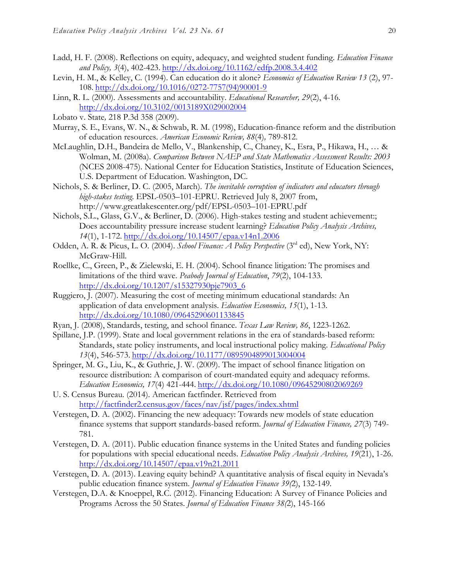- Ladd, H. F. (2008). Reflections on equity, adequacy, and weighted student funding. *Education Finance and Policy, 3*(4), 402-423. http://dx.doi.org/10.1162/edfp.2008.3.4.402
- Levin, H. M., & Kelley, C. (1994). Can education do it alone? *Economics of Education Review 13* (2), 97- 108. http://dx.doi.org/10.1016/0272-7757(94)90001-9
- Linn, R. L. (2000). Assessments and accountability. *Educational Researcher, 29*(2), 4-16. http://dx.doi.org/10.3102/0013189X029002004
- Lobato v. State*,* 218 P.3d 358 (2009).
- Murray, S. E., Evans, W. N., & Schwab, R. M. (1998), Education-finance reform and the distribution of education resources. *American Economic Review, 88*(4)*,* 789-812.
- McLaughlin, D.H., Bandeira de Mello, V., Blankenship, C., Chaney, K., Esra, P., Hikawa, H., … & Wolman, M. (2008a). *Comparison Between NAEP and State Mathematics Assessment Results: 2003* (NCES 2008-475). National Center for Education Statistics, Institute of Education Sciences, U.S. Department of Education. Washington, DC.
- Nichols, S. & Berliner, D. C. (2005, March). *The inevitable corruption of indicators and educators through high-stakes testing*. EPSL-0503–101-EPRU. Retrieved July 8, 2007 from, http://www.greatlakescenter.org/pdf/EPSL-0503–101-EPRU.pdf
- Nichols, S.L., Glass, G.V., & Berliner, D. (2006). High-stakes testing and student achievement:; Does accountability pressure increase student learning? *Education Policy Analysis Archives, 14*(1), 1-172. http://dx.doi.org/10.14507/epaa.v14n1.2006
- Odden, A. R. & Picus, L. O. (2004). *School Finance: A Policy Perspective* (3<sup>rd</sup> ed), New York, NY: McGraw-Hill.
- Roellke, C., Green, P., & Zielewski, E. H. (2004). School finance litigation: The promises and limitations of the third wave. *Peabody Journal of Education*, *79*(2), 104-133. http://dx.doi.org/10.1207/s15327930pje7903\_6
- Ruggiero, J. (2007). Measuring the cost of meeting minimum educational standards: An application of data envelopment analysis. *Education Economics, 15*(1), 1-13. http://dx.doi.org/10.1080/09645290601133845
- Ryan, J. (2008), Standards, testing, and school finance. *Texas Law Review, 86*, 1223-1262.
- Spillane, J.P. (1999). State and local government relations in the era of standards-based reform: Standards, state policy instruments, and local instructional policy making. *Educational Policy 13*(4), 546-573. http://dx.doi.org/10.1177/0895904899013004004
- Springer, M. G., Liu, K., & Guthrie, J. W. (2009). The impact of school finance litigation on resource distribution: A comparison of court-mandated equity and adequacy reforms. *Education Economics, 17*(4) 421-444. http://dx.doi.org/10.1080/09645290802069269
- U. S. Census Bureau. (2014). American factfinder. Retrieved from http://factfinder2.census.gov/faces/nav/jsf/pages/index.xhtml
- Verstegen, D. A. (2002). Financing the new adequacy: Towards new models of state education finance systems that support standards-based reform. *Journal of Education Finance, 27*(3) 749- 781.
- Verstegen, D. A. (2011). Public education finance systems in the United States and funding policies for populations with special educational needs. *Education Policy Analysis Archives, 19*(21), 1-26. http://dx.doi.org/10.14507/epaa.v19n21.2011
- Verstegen, D. A. (2013). Leaving equity behind? A quantitative analysis of fiscal equity in Nevada's public education finance system. *Journal of Education Finance 39(*2), 132-149*.*
- Verstegen, D.A. & Knoeppel, R.C. (2012). Financing Education: A Survey of Finance Policies and Programs Across the 50 States. *Journal of Education Finance 38(*2), 145-166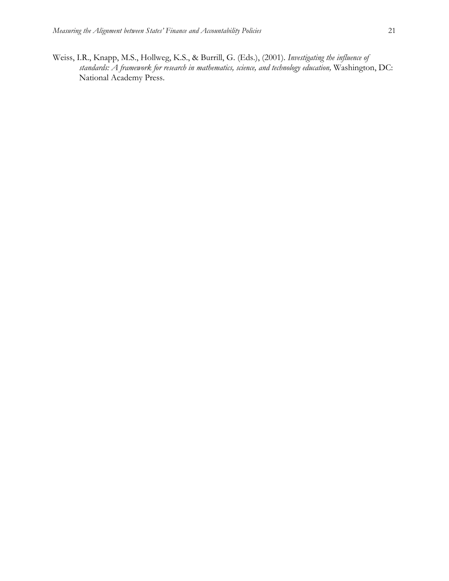Weiss, I.R., Knapp, M.S., Hollweg, K.S., & Burrill, G. (Eds.), (2001). *Investigating the influence of standards: A framework for research in mathematics, science, and technology education,* Washington, DC: National Academy Press.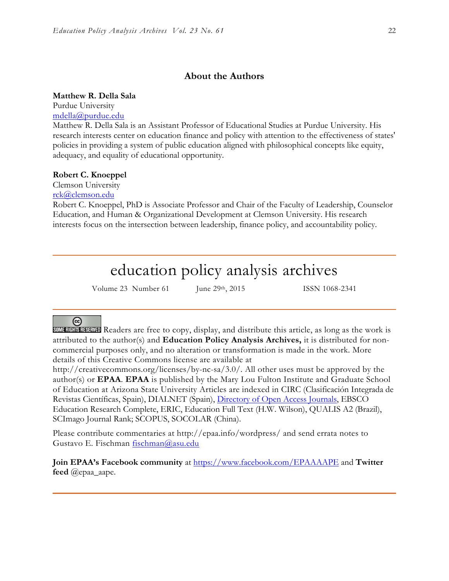### **About the Authors**

#### **Matthew R. Della Sala**

Purdue University mdella@purdue.edu

Matthew R. Della Sala is an Assistant Professor of Educational Studies at Purdue University. His research interests center on education finance and policy with attention to the effectiveness of states' policies in providing a system of public education aligned with philosophical concepts like equity, adequacy, and equality of educational opportunity.

#### **Robert C. Knoeppel**

Clemson University rck@clemson.edu

Robert C. Knoeppel, PhD is Associate Professor and Chair of the Faculty of Leadership, Counselor Education, and Human & Organizational Development at Clemson University. His research interests focus on the intersection between leadership, finance policy, and accountability policy.

## education policy analysis archives

Volume 23 Number 61 June 29<sup>th</sup>, 2015 ISSN 1068-2341

#### ⊛

**SOME RIGHTS RESERVED** Readers are free to copy, display, and distribute this article, as long as the work is attributed to the author(s) and **Education Policy Analysis Archives,** it is distributed for noncommercial purposes only, and no alteration or transformation is made in the work. More details of this Creative Commons license are available at

http://creativecommons.org/licenses/by-nc-sa/3.0/. All other uses must be approved by the author(s) or **EPAA**. **EPAA** is published by the Mary Lou Fulton Institute and Graduate School of Education at Arizona State University Articles are indexed in CIRC (Clasificación Integrada de Revistas Científicas, Spain), DIALNET (Spain), Directory of Open Access Journals, EBSCO Education Research Complete, ERIC, Education Full Text (H.W. Wilson), QUALIS A2 (Brazil), SCImago Journal Rank; SCOPUS, SOCOLAR (China).

Please contribute commentaries at http://epaa.info/wordpress/ and send errata notes to Gustavo E. Fischman fischman@asu.edu

**Join EPAA's Facebook community** at https://www.facebook.com/EPAAAAPE and **Twitter feed** @epaa\_aape.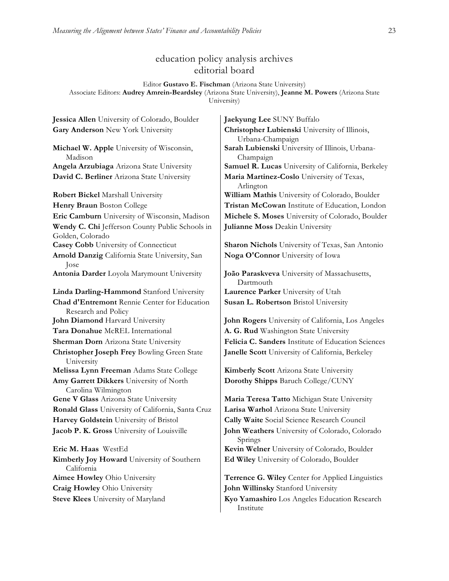### education policy analysis archives editorial board

Editor **Gustavo E. Fischman** (Arizona State University) Associate Editors: **Audrey Amrein-Beardsley** (Arizona State University), **Jeanne M. Powers** (Arizona State University)

**Michael W. Apple** University of Wisconsin, Madison **David C. Berliner** Arizona State University **Maria Martinez-Coslo** University of Texas, **Robert Bickel** Marshall University **William Mathis** University of Colorado, Boulder **Wendy C. Chi** Jefferson County Public Schools in Golden, Colorado **Arnold Danzig** California State University, San Jose **Antonia Darder** Loyola Marymount University **João Paraskveva** University of Massachusetts, **Linda Darling-Hammond** Stanford University **Laurence Parker** University of Utah **Chad d'Entremont** Rennie Center for Education Research and Policy **Tara Donahue** McREL International **A. G. Rud** Washington State University **Christopher Joseph Frey** Bowling Green State University **Melissa Lynn Freeman** Adams State College **Kimberly Scott** Arizona State University **Amy Garrett Dikkers** University of North Carolina Wilmington **Gene V Glass** Arizona State University **Maria Teresa Tatto** Michigan State University **Ronald Glass** University of California, Santa Cruz **Larisa Warhol** Arizona State University **Harvey Goldstein** University of Bristol **Cally Waite** Social Science Research Council

**Kimberly Joy Howard** University of Southern California **Craig Howley** Ohio University **John Willinsky** Stanford University **Steve Klees** University of Maryland **Kyo Yamashiro** Los Angeles Education Research

**Jessica Allen** University of Colorado, Boulder **Jaekyung Lee** SUNY Buffalo

**Gary Anderson** New York University **Christopher Lubienski** University of Illinois, Urbana-Champaign **Sarah Lubienski** University of Illinois, Urbana-Champaign **Angela Arzubiaga** Arizona State University **Samuel R. Lucas** University of California, Berkeley Arlington **Henry Braun** Boston College **Tristan McCowan** Institute of Education, London **Eric Camburn** University of Wisconsin, Madison **Michele S. Moses** University of Colorado, Boulder **Julianne Moss** Deakin University

**Casey Cobb** University of Connecticut **Sharon Nichols** University of Texas, San Antonio **Noga O'Connor** University of Iowa

> Dartmouth **Susan L. Robertson** Bristol University

**John Diamond** Harvard University **John Rogers** University of California, Los Angeles **Sherman Dorn** Arizona State University **Felicia C. Sanders** Institute of Education Sciences **Janelle Scott** University of California, Berkeley

**Dorothy Shipps** Baruch College/CUNY

**Jacob P. K. Gross** University of Louisville **John Weathers** University of Colorado, Colorado Springs **Eric M. Haas** WestEd **Kevin Welner** University of Colorado, Boulder **Ed Wiley** University of Colorado, Boulder

**Aimee Howley** Ohio University **Terrence G. Wiley** Center for Applied Linguistics

Institute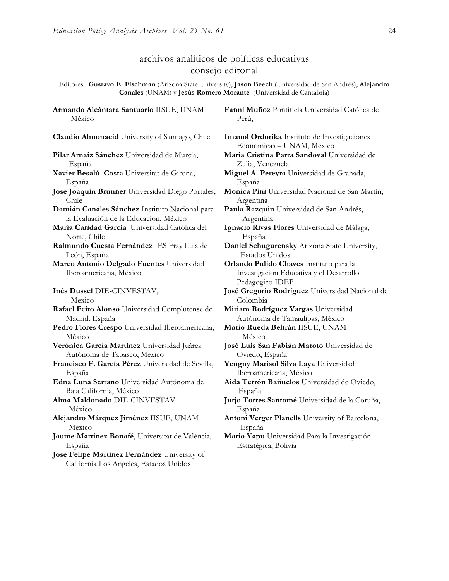## archivos analíticos de políticas educativas consejo editorial

Editores: **Gustavo E. Fischman** (Arizona State University), **Jason Beech** (Universidad de San Andrés), **Alejandro Canales** (UNAM) y **Jesús Romero Morante** (Universidad de Cantabria)

**Armando Alcántara Santuario** IISUE, UNAM México

**Claudio Almonacid** University of Santiago, Chile **Imanol Ordorika** Instituto de Investigaciones

**Pilar Arnaiz Sánchez** Universidad de Murcia, España

**Xavier Besalú Costa** Universitat de Girona, España

**Jose Joaquin Brunner** Universidad Diego Portales, Chile

**Damián Canales Sánchez** Instituto Nacional para la Evaluación de la Educación, México

**María Caridad García** Universidad Católica del Norte, Chile

**Raimundo Cuesta Fernández** IES Fray Luis de León, España

**Marco Antonio Delgado Fuentes** Universidad Iberoamericana, México

**Inés Dussel** DIE**-**CINVESTAV, Mexico

**Rafael Feito Alonso** Universidad Complutense de Madrid. España

**Pedro Flores Crespo** Universidad Iberoamericana, México

**Verónica García Martínez** Universidad Juárez Autónoma de Tabasco, México

**Francisco F. García Pérez** Universidad de Sevilla, España

**Edna Luna Serrano** Universidad Autónoma de Baja California, México

**Alma Maldonado** DIE-CINVESTAV México

**Alejandro Márquez Jiménez** IISUE, UNAM México

**Jaume Martínez Bonafé**, Universitat de València, España

**José Felipe Martínez Fernández** University of California Los Angeles, Estados Unidos

**Fanni Muñoz** Pontificia Universidad Católica de Perú,

Economicas – UNAM, México **Maria Cristina Parra Sandoval** Universidad de

Zulia, Venezuela

**Miguel A. Pereyra** Universidad de Granada, España

**Monica Pini** Universidad Nacional de San Martín, Argentina

**Paula Razquin** Universidad de San Andrés, Argentina

**Ignacio Rivas Flores** Universidad de Málaga, España

**Daniel Schugurensky** Arizona State University, Estados Unidos

**Orlando Pulido Chaves** Instituto para la Investigacion Educativa y el Desarrollo Pedagogico IDEP

**José Gregorio Rodríguez** Universidad Nacional de Colombia

**Miriam Rodríguez Vargas** Universidad Autónoma de Tamaulipas, México

**Mario Rueda Beltrán** IISUE, UNAM México

**José Luis San Fabián Maroto** Universidad de Oviedo, España

**Yengny Marisol Silva Laya** Universidad Iberoamericana, México

**Aida Terrón Bañuelos** Universidad de Oviedo, España

**Jurjo Torres Santomé** Universidad de la Coruña, España

**Antoni Verger Planells** University of Barcelona, España

**Mario Yapu** Universidad Para la Investigación Estratégica, Bolivia